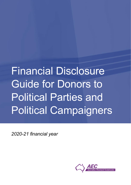# Financial Disclosure Guide for Donors to Political Parties and Political Campaigners

*2020-21 financial year*

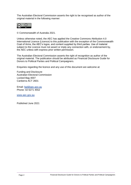The Australian Electoral Commission asserts the right to be recognised as author of the original material in the following manner:



© Commonwealth of Australia 2021.

Unless otherwise noted, the AEC has applied the Creative Commons Attribution 4.0 International Licence (Licence) to this publication with the exception of the Commonwealth Coat of Arms, the AEC's logos, and content supplied by third parties. Use of material subject to the Licence must not assert or imply any connection with, or endorsement by, the AEC unless with express prior written permission.

The Australian Electoral Commission asserts the right of recognition as author of the original material. The publication should be attributed as Financial Disclosure Guide for Donors to Political Parties and Political Campaigners.

Enquiries regarding the licence and any use of this document are welcome at:

Funding and Disclosure Australian Electoral Commission Locked Bag 4007 Canberra ACT 2601

Email: [fad@aec.gov.au](mailto:fad@aec.gov.au) Phone: 02 6271 4552

[www.aec.gov.au](http://www.aec.gov.au/)

Published June 2021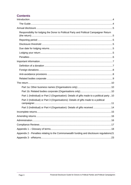### **Contents**

| Responsibility for lodging the Donor to Political Party and Political Campaigner Return     |
|---------------------------------------------------------------------------------------------|
|                                                                                             |
|                                                                                             |
|                                                                                             |
|                                                                                             |
|                                                                                             |
|                                                                                             |
|                                                                                             |
|                                                                                             |
|                                                                                             |
|                                                                                             |
|                                                                                             |
|                                                                                             |
|                                                                                             |
| Part 1 (Individual) or Part 2 (Organisation): Details of gifts made to a political party 10 |
| Part 2 (Individual) or Part 3 (Organisations): Details of gifts made to a political         |
| Part 3 (Individual) or Part 4 (Organisation): Details of gifts received  14                 |
|                                                                                             |
| .16                                                                                         |
|                                                                                             |
|                                                                                             |
|                                                                                             |
| Appendix 2 - Penalties relating to the Commonwealth funding and disclosure regulations21    |
|                                                                                             |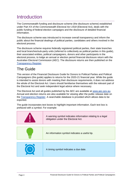# <span id="page-3-0"></span>Introduction

The Commonwealth funding and disclosure scheme (the disclosure scheme) established under Part XX of the *Commonwealth Electoral Act 1918* (Electoral Act), deals with the public funding of federal election campaigns and the disclosure of detailed financial information.

The disclosure scheme was introduced to increase overall transparency and inform the public about the financial dealings of political parties, candidates and others involved in the electoral process.

The disclosure scheme requires federally registered political parties, their state branches and local branches/sub-party units (referred to collectively as political parties in this guide), their associated entities, political campaigners, donors and other participants in the electoral process, to lodge an annual or election period financial disclosure return with the Australian Electoral Commission (AEC). The disclosure returns are then published on the [Transparency Register.](https://transparency.aec.gov.au/)

# <span id="page-3-1"></span>The Guide

This version of the Financial Disclosure Guide for Donors to Political Parties and Political Campaigners (the guide) applies to returns for the 2020-21 financial year. While the guide is intended to assist donors with meeting their disclosure requirements, it does not address the whole of the Electoral Act. Users should familiarise themselves with the relevant part of the Electoral Act and seek independent legal advice where necessary.

The Electoral Act and all guides published by the AEC are available at [www.aec.gov.au.](http://www.aec.gov.au/) Annual and election returns are also available for viewing after the public release date on the [Transparency Register.](https://transparency.aec.gov.au/) A searchable database is provided which allows data to be exported.

The guide incorporates text boxes to highlight important information. Each text box is prefaced with a symbol. For example:

| A warning symbol indicates information relating to a legal<br>obligation under the Electoral Act. |  |  |  |
|---------------------------------------------------------------------------------------------------|--|--|--|
|                                                                                                   |  |  |  |
| An information symbol indicates a useful tip.                                                     |  |  |  |
|                                                                                                   |  |  |  |
| A timing symbol indicates a due date.                                                             |  |  |  |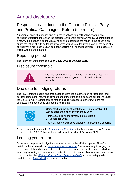# <span id="page-4-0"></span>Annual disclosure

# <span id="page-4-1"></span>Responsibility for lodging the Donor to Political Party and Political Campaigner Return (the return)

A person or entity that makes one or more donations to a political party or political campaigner totalling more than the disclosure threshold during a financial year must lodge a return. If the donor is an individual, he or she must lodge the return. If the donor is an entity, the return should be lodged by a person with the authority to do so. In the case of a company this may be the CEO, company secretary or financial controller. In the case of a trust it would be the trustee.

# <span id="page-4-2"></span>Reporting period

The return covers the financial year **1 July 2020 to 30 June 2021**.

### <span id="page-4-3"></span>Disclosure threshold



The disclosure threshold for the 2020-21 financial year is for amounts of more than **\$14,300**. This figure is indexed annually.

# <span id="page-4-4"></span>Due date for lodging returns

The AEC contacts people and organisations identified as donors on political party and political campaigner returns to advise them of their financial disclosure obligations under the Electoral Act. It is important to note this **does not** absolve donors who are not contacted from completing and submitting returns.



Returns are published on the [Transparency Register](https://transparency.aec.gov.au/) on the first working day of February. Returns for the 2020-21 financial year will be published on **1 February 2022**.

# <span id="page-4-5"></span>Lodging your return

Donors can prepare and lodge their returns online via the eReturns portal. The eReturns portal can be accessed from [https://ereturns.aec.gov.au.](https://ereturns.aec.gov.au/) The easiest way to lodge your return accurately and on time is to use the eReturns portal; it is quick, secure and allows importing/exporting of files which eliminates transcription errors. To assist with completing a return online, the *eReturns Donors [Quick Reference Guide,](https://www.aec.gov.au/Parties_and_Representatives/financial_disclosure/qrg/index.htm)* a step-by-step guide is available. See **[Appendix](#page-22-0) 3** for more information.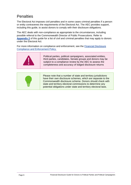# <span id="page-5-0"></span>**Penalties**

The Electoral Act imposes civil penalties and in some cases criminal penalties if a person or entity contravenes the requirements of the Electoral Act. The AEC provides support, including this guide, to assist donors to comply with their disclosure obligations.

The AEC deals with non-compliance as appropriate to the circumstances, including possible referral to the Commonwealth Director of Public Prosecutions. Refer to **[Appendix](#page-20-0) 2** of this guide for a list of civil and criminal penalties that may apply to donors under the Electoral Act.

For more information on compliance and enforcement, see the [Financial Disclosure](https://www.aec.gov.au/Parties_and_Representatives/compliance/)  [Compliance and Enforcement Policy.](https://www.aec.gov.au/Parties_and_Representatives/compliance/)



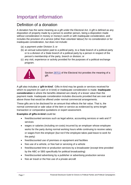# <span id="page-6-0"></span>Important information

# <span id="page-6-1"></span>Definition of a donation

A donation has the same meaning as a gift under the Electoral Act. A gift is defined as any disposition of property made by a person to another person, being a disposition made without consideration in money or money's worth or with inadequate consideration, and includes the provision of a service (other than volunteer labour) for no consideration or for inadequate consideration, but does not include:

- (a) a payment under Division 3; or
- (b) an annual subscription paid to a political party, to a State branch of a political party or to a division of a State branch of a political party by a person in respect of the person's membership of the party, branch or division; or
- (c) any visit, experience or activity provided for the purposes of a political exchange program.



Section [287\(1\)](http://www6.austlii.edu.au/cgi-bin/viewdoc/au/legis/cth/consol_act/cea1918233/s287.html) of the Electoral Act provides the meaning of a gift.

A gift also includes a '**gift-in-kind**'. Gifts-in-kind may be goods or services received for which no payment (in cash or in kind) or inadequate consideration is made. **Inadequate consideration** is where the benefits obtained are clearly of a lesser value than the payment made. Inadequate consideration includes discounts provided that are over and above those that would be offered under normal commercial arrangements.

These gifts are to be disclosed for an amount that reflects the fair value. That is, the normal commercial or sale value of the item or service as evidenced by arms-length transaction or comparative quotations or expert assessment.

**Examples of gifts-in-kind** could be:

- free/discounted services such as legal advice, accounting services or web and IT services
- wages or salaries (including on-costs) incurred by an employer whose employee works for the party during normal working hours while continuing to receive salary or wages from the employer (but not if the employee takes paid leave to work for the party)
- free/discounted use of premises or equipment and facilities
- free use of a vehicle, or free fuel or servicing of a vehicle
- free/discounted time or production services by a broadcaster (except time provided by the ABC or SBS specifically for political broadcasting)
- free/discounted advertising by a publisher or advertising production service
- free air travel or the free use of a private aircraft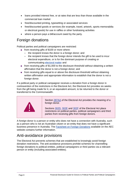- loans provided interest free, or at rates that are less than those available in the commercial loan market
- free/discounted printing, typesetting or associated services
- free/discounted goods or services (for example, travel, artwork, sports memorabilia or electrical goods) for use in raffles or other fundraising activities
- where a person pays a bill/account owed by the party.

# <span id="page-7-0"></span>Foreign donations

Political parties and political campaigners are restricted:

- from receiving gifts of \$100 or more where:
	- the recipient knows the donor is a foreign donor; and
	- the recipient knows that the foreign donor intends the gift to be used to incur electoral expenditure, or is for the dominant purpose of creating or communicating [electoral matter](https://www.aec.gov.au/Parties_and_Representatives/financial_disclosure/files/electoral-matter-and-electoral-expenditure-fact-sheet.pdf) and
- from receiving gifts of \$1,000 to the disclosure threshold without obtaining a written affirmation that the donor is not a foreign donor; and
- from receiving gifts equal to or above the disclosure threshold without obtaining written affirmation and appropriate information to establish that the donor is not a foreign donor.

If a political party or political campaigner receives a donation from a foreign donor in contravention of the restrictions in the Electoral Act, the Electoral Act provides six weeks from the gift being made for it, or an equivalent amount, to be returned to the donor or transferred to the Commonwealth.



Section [287AA](http://www6.austlii.edu.au/cgi-bin/viewdoc/au/legis/cth/consol_act/cea1918233/s287aa.html) of the Electoral Act provides the meaning of a foreign donor.

Sections [302D,](http://www6.austlii.edu.au/cgi-bin/viewdoc/au/legis/cth/consol_act/cea1918233/s302d.html) [302E](http://www6.austlii.edu.au/cgi-bin/viewdoc/au/legis/cth/consol_act/cea1918233/s302e.html) and [302F](http://www6.austlii.edu.au/cgi-bin/viewdoc/au/legis/cth/consol_act/cea1918233/s302f.html) of the Electoral Act place restrictions on political parties, political campaigners and third parties from receiving gifts from foreign donors.

A foreign donor is a person or entity who does not have a connection with Australia, such as a person who is not an Australian citizen or an entity that does not have a significant business presence in Australia. The [Factsheet on Foreign Donations](https://www.aec.gov.au/Parties_and_Representatives/financial_disclosure/files/foreign-donations-fact-sheet.pdf) available on the AEC website contains further information.

# <span id="page-7-1"></span>Anti-avoidance provisions

The Electoral Act prevents schemes that are established to knowingly avoid foreign donation restrictions. The anti-avoidance provisions prohibit schemes for channelling foreign donations to political entities, political campaigners or third parties via a relevant person or entity (including associated entities).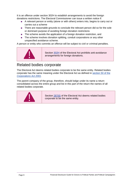It is an offence under section 302H to establish arrangements to avoid the foreign donations restrictions. The Electoral Commissioner can issue a written notice if:

- A relevant person or entity (alone or with others) enters into, begins to carry out or carries out a scheme
- There are reasonable grounds to conclude the relevant person did so for the sole or dominant purpose of avoiding foreign donation restrictions
- The scheme avoids the application of a foreign donation restriction, and
- The scheme involves donation splitting, conduit corporations or any other unspecified avoidance scheme.

A person or entity who commits an offence will be subject to civil or criminal penalties.



Section [302H](http://www6.austlii.edu.au/cgi-bin/viewdoc/au/legis/cth/consol_act/cea1918233/s302h.html) of the Electoral Act prohibits anti-avoidance arrangements for foreign donations.

### <span id="page-8-0"></span>Related bodies corporate

The Electoral Act deems related bodies corporate to be the same entity. Related bodies corporate has the same meaning under the Electoral Act as defined in [section 50 of the](http://www5.austlii.edu.au/au/legis/cth/num_act/ca2001172/s50.html)  *[Corporations Act 2001](http://www5.austlii.edu.au/au/legis/cth/num_act/ca2001172/s50.html)*.

The parent company of the group, therefore, should lodge under its name a return consolidated across the entire group and list in this part of the return the names of all related bodies corporate.



Section  $287(6)$  of the Electoral Act deems related bodies corporate to be the same entity.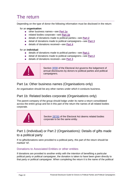# <span id="page-9-0"></span>The return

Depending on the type of donor the following information must be disclosed in the return:

#### for an **organisation**:

- other business names—see **[Part 1a](#page-9-1)**
- related bodies corporate—see **[Part 1b](#page-9-2)**
- details of donations made to political parties—see **[Part 2](#page-9-3)**
- detail of donations made to political campaigners-see **[Part 3](#page-10-0)**
- details of donations received—see [Part 4](#page-13-0)

#### for an **individual**:

- details of donations made to political parties—see **[Part 1](#page-9-3)**
- detail of donations made to political campaigners—see **[Part 2](#page-10-0)**
- details of donations received—see **[Part 3](#page-13-0)**



Section [305B](http://www6.austlii.edu.au/cgi-bin/viewdoc/au/legis/cth/consol_act/cea1918233/s305b.html) of the Electoral Act governs the lodgement of annual disclosures by donors to political parties and political campaigners.

### <span id="page-9-1"></span>Part 1a: Other business names (Organisations only)

An organisation should list any other names under which it conducts business.

### <span id="page-9-2"></span>Part 1b: Related bodies corporate (Organisations only)

The parent company of the group should lodge under its name a return consolidated across the entire group and list in this part of the return the names of all related bodies corporate.



Section [287\(6\)](http://www6.austlii.edu.au/cgi-bin/viewdoc/au/legis/cth/consol_act/cea1918233/s287.html) of the Electoral Act deems related bodies corporate to be the same entity.

### <span id="page-9-3"></span>Part 1 (Individual) or Part 2 (Organisations): Details of gifts made to a political party

If no gifts/donations were provided to a political party, this part of the return should be marked 'nil'.

#### Donations to Associated Entities or other entities

If donations are provided to another entity with the intention of benefiting a particular political party or political campaigner, the donation is taken to have been given directly to that party or political campaigner. When completing the return it is the name of the political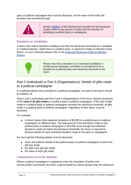party or political campaigner that must be disclosed, not the name of the entity the donation was provided through.



Section [305B\(2\)](http://www6.austlii.edu.au/cgi-bin/viewdoc/au/legis/cth/consol_act/cea1918233/s305b.html) of the Electoral Act provides for the disclosure of gifts made to any person or entity with the intention of benefiting a political party or campaigner.

#### Donations to candidates

A donor who makes donations totalling more than the disclosure threshold to a candidate in a federal election, rather than to a political party, is required to lodge an Election Donor Return. In such instances please refer to the [Financial Disclosure Guide for Election](https://www.aec.gov.au/Parties_and_Representatives/financial_disclosure/guides/donors/index.htm)  [Donors.](https://www.aec.gov.au/Parties_and_Representatives/financial_disclosure/guides/donors/index.htm)



Please note that a donation to an endorsed candidate or Senate group campaign committee is considered to be a donation to a political party and should be disclosed in the return.

### <span id="page-10-0"></span>Part 2 (Individual) or Part 3 (Organisations): Details of gifts made to a political campaigner

If no gifts/donations were provided to a political campaigner, this part of the return should be marked 'nil'.

Parts 1 and 2 (Individual) and Part 2 and 3 (Organisation) of the return requires disclosure of the **total of all gifts made** to a political party or political campaigner. If the total of gifts made to a political party or political campaigner exceeds the disclosure threshold, all gifts made to a political party or political campaigner, regardless of their value, must be disclosed.

For example:

■ A donor makes three separate donations of \$5,000 to a political party or political campaigner on different days. The total amount of the donations made to that political party or political campaigner is \$15,000. Even though the individual donations made are below the disclosure threshold, the donor is required to disclose details for each individual donation made to the party or campaigner.

For each gift the following details must be disclosed:

- name and address details of the political party or political campaigner to which the gift was made
- the date each gift was made
- the value of each gift made.

#### Transactions not to be reported

Where a political campaigner is registered under the *Australian Charities and Not-for-profits Commission Act 2012*, a gift provided by a donor greater than the disclosure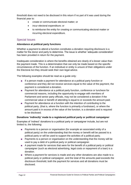threshold does not need to be disclosed in this return if no part of it was used during the financial year to:

- create or communicate electoral matter; or
- incur electoral expenditure; or
- to reimburse the entity for creating or communicating electoral matter or incurring electoral expenditure.

#### Special Issues

#### **Attendance at political party functions**

Whether a payment to attend a function constitutes a donation requiring disclosure is a matter for the donor and party to determine. The issue is whether 'adequate consideration' has been provided in return for the payment.

Inadequate consideration is where the benefits obtained are clearly of a lesser value than the payment made. This is a determination that can only be made based on the specific circumstances of the function. If an individual or entity is unsure of their obligations under the Electoral Act they should seek their own legal advice.

The following examples should be read as a guide only:

- If a person made a payment for attendance at a political party function or conference and they did not receive services equal to the value of the payment, the payment is considered a donation.
- Payment for attendance at a political party function, conference or luncheon for commercial reasons, including the opportunity to engage with members of Parliament and senior party officials, may not be considered a donation if the commercial value or benefit of attending is equal to or exceeds the amount paid.
- Payment for attendance at a function with the intention of contributing to the political party, (that is, where the function is primarily a fundraiser), or where the amount paid is in excess of the value of the function, is a donation and is required to be disclosed.

#### **Donations 'indirectly' made to a registered political party or political campaigner**

Examples of 'indirect' donations to a political party or campaigner include, but are not limited to, the following:

- Payments to a person or organisation (for example an associated entity of a political party) on the understanding that the money or benefit will be passed to a political party or will be used to support the activities of a political party.
- Payments to a person or organisation on the understanding that the money will be used to pay a debt of a political party or political campaigner.
- A payment made for services that were for the benefit of a political party or political campaigner (such as electoral advertising, legal costs or repayment of a loan) is a donation.
- Where a payment for services is made and any other donations are also made to a political party or political campaigner, and the total of the amounts paid exceeds the disclosure threshold, both the payment for services and all donations must be disclosed.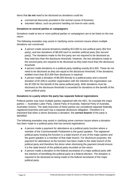Items that **do not** need to be disclosed as donations could be:

- commercial discounts provided in the normal course of business
- volunteer labour, such as persons handing out how-to-vote cards.

#### **Donations to several parties or campaigners**

Donations made to two or more political parties or campaigners are to be listed on the one return.

The following examples may assist in clarifying some common issues where multiple donations are concerned:

- A person made several donations totalling \$13,000 to one political party (the first party), and two donations of \$8,000 each to another political party (the second party). The donations made to the first party are not required to be disclosed as they total less than the disclosure threshold. However, the two donations made to the second party are required to be disclosed as they total more than the disclosure threshold.
- A person made donations to a political party totalling exactly \$14,300. These do not need to be disclosed as they are equal to the disclosure threshold. If the donations totalled more than \$14,300 then disclosure is required.
- A person made a donation of \$9,000 directly to a political party and a second donation of \$7,000 to another organisation with the intention the organisation use the \$7,000 for the benefit of the same political party. Both donations must be disclosed as the disclosure threshold is exceeded for donations to the benefit of the same political party.

#### **Donations to a party where the party has separate federal registrations**

Political parties may have multiple parties registered with the AEC, for example the major parties — Australian Labor Party, Liberal Party of Australia, National Party of Australia, Australian Greens. The state branches of these parties are considered separate federally registered branches and each has a separate disclosure obligation. Therefore it is important that when a donor discloses a donation, the **correct branch** of the party is identified.

The following examples may assist in clarifying some common issues where a donation has been made to a political party that has several registrations:

- A person made a payment for attendance at a political party function where a member of the Commonwealth Parliament is the guest speaker. The registered political party hosting the function is a state branch of one of the major parties and the guest speaker is a member of that state branch. For disclosure purposes, the payment for attendance at the function has been made to the state branch of the political party and therefore the donor when disclosing the payment should ensure it is the state branch of the political party recorded on the return.
- A person made a donation to the federal secretariat of a major political party with the intention of benefiting the political party at a federal election. The donation is required to be disclosed as being made to the federal secretariat of the major political party.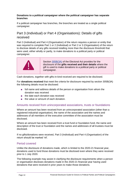#### **Donations to a political campaigner where the political campaigner has separate branches**

If a political campaigner has branches, the branches are treated as a single political campaigner.

### <span id="page-13-0"></span>Part 3 (Individual) or Part 4 (Organisations): Details of gifts received

Part 3 (Individual) and Part 4 (Organisation) of the return requires a person or entity that was required to complete Part 1 or 2 (Individual) or Part 2 or 3 (Organisation) of the return to disclose details of any gifts received totalling more than the disclosure threshold that were used, either wholly or partly, to make donations to a political party or political campaigner.



Section [305B\(3A\)](http://www6.austlii.edu.au/cgi-bin/viewdoc/au/legis/cth/consol_act/cea1918233/s305b.html) of the Electoral Act provides for the disclosure of the **gifts received and their details** where the gift is used to make donations to a political party or political campaigner.

Cash donations, together with gifts-in-kind received are required to be disclosed.

For **donations received** that meet the criteria for disclosure required by section 305B(3A) the following details must be disclosed:

- full name and address details of the person or organisation from whom the donation was received
- the date each donation was received
- the value or amount of each donation.

#### Amounts received from unincorporated associations, trusts or foundations

Where an amount has been received from an unincorporated association (other than a registered industrial organisation), the name of the association and the names and addresses of all members of the executive committee of the association must be disclosed.

Where an amount has been received from a trust fund or foundation fund, the name and description of the trust or foundation and the names and addresses of all trustees must be disclosed.

If no gifts/donations were received, Part 3 (Individual) and Part 4 (Organisation) of the return should be marked 'nil'.

#### Period covered

Unlike the disclosure of donations made, which is limited to the 2020-21 financial year, donations used to fund those donations must be disclosed even where they were received prior to 1 July 2020.

The following example may assist in clarifying the disclosure requirements when a person or organisation discloses donations made in the 2020-21 financial year having used donations that were received in prior years to make those donations.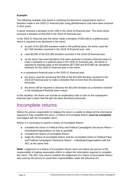#### **Example:**

The following example may assist in clarifying the disclosure requirements when a donation made in the 2020-21 financial year using gifts/donations that have been received in prior years.

A donor received a donation of \$17,000 in the 2018-19 financial year. The same donor received a donation of \$15,000 in the 2019-20 financial year.

In the 2020-21 financial year the donor made a donation of \$20,000 to a political party which is required to be disclosed in the return:

- as part of the \$20,000 donation made to the political party, the donor used the \$17,000 donation received in the 2018-19 financial year, and
- used \$3,000 of the \$15,000 donation received in the 2019-20 financial year,
- as the donor has used donations that were received in previous financial years to make a donation to a political party in the 2020-21 financial year, the donor is required to disclose each of the donations (\$17,000 and \$15,000) as 'donations received' for the 2020-21 financial year in the return.

In a subsequent financial year to the 2020-21 financial year:

- the donor used the remaining \$12,000 of the \$15,000 donation received in the 2019-20 financial year to make a donation that is more than the disclosure threshold,
- the donor will be required to disclose the \$15,000 donation as a donation received in the subsequent financial year's return.

In this situation, the donor can include an explanatory note on the on the subsequent financial year's return that the gift has been disclosed previously.

# <span id="page-14-0"></span>Incomplete returns

Where the person responsible for lodging the return is unable to obtain all the information required to fully complete the return, a Notice of Incomplete Return **must be completed** and lodged with the incomplete return.

Where it is necessary to submit a Notice of Incomplete Return:

- complete the Donor to Political Party and Political Campaigner Disclosure Return Individuals/Organisations as fully as possible
- complete the Notice of Incomplete Return
- lodge the Notice of Incomplete Return and the incomplete Donor to Political Party and Political Campaigner Disclosure Return – Individuals/Organisations with the AEC at the same time.

*Note: Lodgement of a Notice of Incomplete Return does not relieve the person of the responsibility of making reasonable efforts to obtain the information required to complete the return. The AEC may assess whether the lodgement of a Notice of Incomplete Return was used by the person to avoid their responsibilities under the Electoral Act.*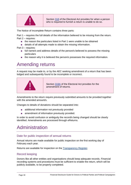

The Notice of Incomplete Return contains three parts:

Part 1 – requires the full details of the information believed to be missing from the return. Part 2 – requires:

- the reason the particulars listed in Part 1 were unable to be obtained
- details of all attempts made to obtain the missing information.
- Part 3 requires:
	- full name/s and address details of the person/s believed to possess the missing particulars
	- the reason why it is believed the person/s possesses the required information.

# <span id="page-15-0"></span>Amending returns

A request may be made to, or by the AEC seeking amendment of a return that has been lodged and subsequently found to be incomplete or incorrect.



Section [319A](http://www6.austlii.edu.au/cgi-bin/viewdoc/au/legis/cth/consol_act/cea1918233/s319a.html) of the Electoral Act provides for the amendment of returns.

Amendments to the return require previously submitted amounts to be provided together with the amended amount/s.

Changes to details of donations should be separated into:

- additional information not previously provided
- amendment of information previously provided.

In order to avoid confusion or ambiguity the record/s being changed should be clearly identified. Amendments are processed through eReturns.

# <span id="page-15-1"></span>Administration

#### Date for public inspection of annual returns

Annual returns are made available for public inspection on the first working day of February each year.

Returns are available for inspection on the [Transparency Register.](https://transparency.aec.gov.au/)

#### Record keeping

Donors like all other entities and organisations should keep adequate records. Financial recording systems and procedures must be sufficient to enable the return, which will be publicly available, to be properly completed.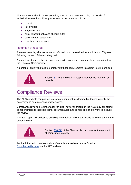All transactions should be supported by source documents recording the details of individual transactions. Examples of source documents could be:

- receipts
- tax invoices
- wages records
- bank deposit books and cheque butts
- bank account statements
- credit card statements.

#### Retention of records

Relevant records, whether formal or informal, must be retained for a minimum of 5 years following the end of the reporting period.

A record must also be kept in accordance with any other requirements as determined by the Electoral Commissioner.

A person or entity who fails to comply with these requirements is subject to civil penalties.



Section [317](http://www6.austlii.edu.au/cgi-bin/viewdoc/au/legis/cth/consol_act/cea1918233/s317.html) of the Electoral Act provides for the retention of records.

# <span id="page-16-0"></span>Compliance Reviews

The AEC conducts compliance reviews of annual returns lodged by donors to verify the accuracy and completeness of disclosures.

Compliance reviews are undertaken 'off-site', however officers of the AEC may still attend donor premises to inspect original documentation and to hold an exit interview to discuss the review.

A written report will be issued detailing any findings. This may include advice to amend the donor's return.



Section [316\(2A\)](http://www6.austlii.edu.au/cgi-bin/viewdoc/au/legis/cth/consol_act/cea1918233/s316.html) of the Electoral Act provides for the conduct of compliance reviews.

Further information on the conduct of compliance reviews can be found at [Compliance](http://www.aec.gov.au/Parties_and_Representatives/compliance/index.htm) Reviews on the AEC website.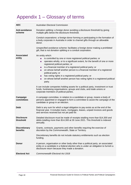# <span id="page-17-0"></span>Appendix 1 – Glossary of terms

| <b>AEC</b>                       | <b>Australian Electoral Commission</b>                                                                                                                                                                                                                                                                                                                                                                                                                                                                                                                                                                                                                                                                                                                 |  |  |  |  |
|----------------------------------|--------------------------------------------------------------------------------------------------------------------------------------------------------------------------------------------------------------------------------------------------------------------------------------------------------------------------------------------------------------------------------------------------------------------------------------------------------------------------------------------------------------------------------------------------------------------------------------------------------------------------------------------------------------------------------------------------------------------------------------------------------|--|--|--|--|
| Anti-avoidance<br>scheme         | Donation splitting: a foreign donor avoiding a disclosure threshold by giving<br>multiple gifts below the disclosure threshold.                                                                                                                                                                                                                                                                                                                                                                                                                                                                                                                                                                                                                        |  |  |  |  |
|                                  | Conduit corporations: a foreign donor forming or participating in the formation of<br>a body corporate in Australia in order to channel gifts through an allowable<br>donor.                                                                                                                                                                                                                                                                                                                                                                                                                                                                                                                                                                           |  |  |  |  |
|                                  | Unspecified avoidance scheme: facilitates a foreign donor making a prohibited<br>gift, that is not donation splitting or a conduit corporation.                                                                                                                                                                                                                                                                                                                                                                                                                                                                                                                                                                                                        |  |  |  |  |
| <b>Associated</b><br>entity      | An entity which:<br>is controlled by one or more registered political parties; or<br>operates wholly, or to a significant extent, for the benefit of one or more<br>п<br>registered political parties; or<br>is a financial member of a registered political party; or<br>п<br>on whose behalf another person is a financial member of a registered<br>п<br>political party; or<br>has voting rights in a registered political party; or<br>п<br>on whose behalf another person has voting rights in a registered political<br>п<br>party.<br>It can include companies holding assets for a political party, investment or trust<br>funds, fundraising organisations, groups and clubs, and trade unions or<br>corporate members of political parties. |  |  |  |  |
| Campaign<br>committees           | A campaign committee, in relation to a candidate or group, means a body of<br>persons appointed or engaged to form a committee to assist the campaign of the<br>candidate or group in an election.                                                                                                                                                                                                                                                                                                                                                                                                                                                                                                                                                     |  |  |  |  |
| <b>Debt</b>                      | Debt is any sum for which a legal obligation to pay exists as at the end of the<br>financial year. It includes loans, mortgages, leases, unpaid invoices and goods<br>and services received but not yet paid for.                                                                                                                                                                                                                                                                                                                                                                                                                                                                                                                                      |  |  |  |  |
| <b>Disclosure</b><br>threshold   | Detailed disclosure must be made of receipts totalling more than \$14,300 and<br>debts totalling more than \$14,300 at 30 June 2021. This threshold is indexed<br>annually.                                                                                                                                                                                                                                                                                                                                                                                                                                                                                                                                                                            |  |  |  |  |
| <b>Discretionary</b><br>benefits | Grants, contracts, payments and other benefits requiring the exercise of<br>discretion by the Commonwealth, State or Territory.                                                                                                                                                                                                                                                                                                                                                                                                                                                                                                                                                                                                                        |  |  |  |  |
|                                  | Discretionary benefits do not include statutory entitlements such as election<br>funding.                                                                                                                                                                                                                                                                                                                                                                                                                                                                                                                                                                                                                                                              |  |  |  |  |
| <b>Donor</b>                     | A person, organisation or other body other than a political party, an associated<br>entity or a candidate in a federal election who is under an obligation to furnish a<br>disclosure return because they made a donation.                                                                                                                                                                                                                                                                                                                                                                                                                                                                                                                             |  |  |  |  |
| <b>Electoral Act</b>             | Commonwealth Electoral Act 1918                                                                                                                                                                                                                                                                                                                                                                                                                                                                                                                                                                                                                                                                                                                        |  |  |  |  |
|                                  |                                                                                                                                                                                                                                                                                                                                                                                                                                                                                                                                                                                                                                                                                                                                                        |  |  |  |  |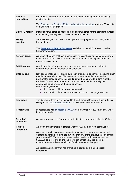| <b>Electoral</b><br>expenditure | Expenditure incurred for the dominant purpose of creating or communicating<br>electoral matter.                                                                                                                                                                                                                                                                                                                                                                                                                                                                                      |  |  |  |  |  |
|---------------------------------|--------------------------------------------------------------------------------------------------------------------------------------------------------------------------------------------------------------------------------------------------------------------------------------------------------------------------------------------------------------------------------------------------------------------------------------------------------------------------------------------------------------------------------------------------------------------------------------|--|--|--|--|--|
|                                 | The <b>Factsheet on Electoral Matter and electoral expenditure</b> on the AEC website<br>contains further information.                                                                                                                                                                                                                                                                                                                                                                                                                                                               |  |  |  |  |  |
| <b>Electoral matter</b>         | Matter communicated or intended to be communicated for the dominant purpose<br>of influencing the way electors vote in a federal election.                                                                                                                                                                                                                                                                                                                                                                                                                                           |  |  |  |  |  |
| Foreign<br>donation             | A donation or gift to a political entity, political campaigner or third party from a<br>foreign donor.                                                                                                                                                                                                                                                                                                                                                                                                                                                                               |  |  |  |  |  |
|                                 | The <b>Factsheet on Foreign Donations</b> available on the AEC website contains<br>further information.                                                                                                                                                                                                                                                                                                                                                                                                                                                                              |  |  |  |  |  |
| Foreign donor                   | A person who does not have a connection with Australia, such as a person who<br>is not an Australian Citizen or an entity that does not have significant business<br>presence in Australia.                                                                                                                                                                                                                                                                                                                                                                                          |  |  |  |  |  |
| <b>Gift/Donation</b>            | Any disposition of property made by a person to another person without<br>consideration or with inadequate consideration.                                                                                                                                                                                                                                                                                                                                                                                                                                                            |  |  |  |  |  |
| Gifts-in-kind                   | Non-cash donations. For example, receipt of an asset or service, discounts other<br>than in the normal course of business and non-commercial or excessive<br>payment for goods or services (including membership). Gifts-in-kind must be<br>disclosed for an amount that reflects the fair value, that is, normally the<br>commercial or sale value of the item or service.<br>Examples of gifts-in-kind:<br>the donation of legal advice by a solicitor<br>the donation of the use of premises to conduct campaign activities.<br>п                                                 |  |  |  |  |  |
| <b>Indexation</b>               | The disclosure threshold is indexed to the All Groups Consumer Price Index. A<br>listing of past disclosure thresholds is available on the AEC website.                                                                                                                                                                                                                                                                                                                                                                                                                              |  |  |  |  |  |
| <b>Penalty Unit</b>             | In accordance with subsection $4AA(1A)$ of the Crimes Act 1914 a penalty unit is<br>indexed annually.                                                                                                                                                                                                                                                                                                                                                                                                                                                                                |  |  |  |  |  |
| <b>Period of</b><br>disclosure  | Annual returns cover a financial year, that is, the period from 1 July to 30 June.                                                                                                                                                                                                                                                                                                                                                                                                                                                                                                   |  |  |  |  |  |
| <b>Political</b><br>campaigner  | A person or entity that is registered with the AEC as a political campaigner.<br>A person or entity is required to register as a political campaigner when their<br>electoral expenditure during the current, or in any of the previous three financial<br>years, was \$500,000 or more, or electoral expenditure during that year was<br>\$100,000 or more, and during the previous financial year the electoral<br>expenditure was at least two-thirds of their revenue for that year.<br>A political campaigner that has branches is treated as a single political<br>campaigner. |  |  |  |  |  |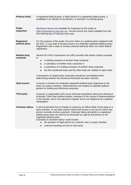| <b>Political entity</b>              | A registered political party, a State branch of a registered political party, a<br>candidate in an election or by-election, or member of a Senate group.                                                                                                                                                                                                                                                                                                                                                                                |  |  |  |  |
|--------------------------------------|-----------------------------------------------------------------------------------------------------------------------------------------------------------------------------------------------------------------------------------------------------------------------------------------------------------------------------------------------------------------------------------------------------------------------------------------------------------------------------------------------------------------------------------------|--|--|--|--|
| <b>Public</b><br>inspection          | Disclosure returns are available for inspection by the public at<br>https://transparency.aec.gov.au/. Annual returns are made available from the<br>first working day in February each year.                                                                                                                                                                                                                                                                                                                                            |  |  |  |  |
| <b>Registered</b><br>political party | For the purpose of this guide, this term refers to a political party registered with<br>the AEC, or any state or territory branch of a federally registered political party.<br>Registration with a state or territory electoral authority does not confer federal<br>registration.                                                                                                                                                                                                                                                     |  |  |  |  |
| <b>Related body</b><br>corporate     | Section 50 of the Corporations Act 2001 provides that where a body corporate<br>is:<br>a holding company of another body corporate<br>п<br>a subsidiary of another body corporate or<br>п<br>a subsidiary of a holding company of another body corporate<br>п<br>the first-mentioned body and the other body are 'related' to each other.<br>п<br>Transactions of related body corporates should be consolidated when<br>determining whether the disclosure threshold has been reached.                                                 |  |  |  |  |
| <b>State branch</b>                  | A branch or division of a federally registered political party organised on the<br>basis of a state or territory. State branches are treated as separate political<br>parties for funding and disclosure purposes.                                                                                                                                                                                                                                                                                                                      |  |  |  |  |
| <b>Third party</b>                   | A person or organisation who incurs electoral expenditure above the disclosure<br>threshold. Other than political entities, members of the House of Representatives<br>or the Senate, and is not required to register and is not registered as a political<br>campaigner.                                                                                                                                                                                                                                                               |  |  |  |  |
| <b>Volunteer labour</b>              | A service provided free of charge to a party by an office holder of the party or a<br>party member, or any other person where that service is not one for which that<br>person normally receives payment. Volunteer labour provided to a registered<br>political party does not need to be disclosed as a gift by that person or the<br>registered political party.<br>Examples of volunteer labour could include:<br>the donation of legal advice by a solicitor who is a party member<br>a person handing out how-to-vote cards.<br>п |  |  |  |  |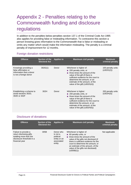# <span id="page-20-0"></span>Appendix 2 - Penalties relating to the Commonwealth funding and disclosure regulations

In addition to the penalties below penalties section 137.1 of the Criminal Code Act 1995 also applies for providing false or misleading information. To contravene this section a person knowing gives information to the Commonwealth that is false or misleading or omits any matter which would make the information misleading. The penalty is a criminal penalty of imprisonment for 12 months.

#### Foreign donation restrictions

| <b>Offence</b>                                                                                      | <b>Section of the</b><br><b>Electoral Act</b> | <b>Applies to</b> | <b>Maximum civil penalty</b>                                                                                                                                                                                                                                                | <b>Maximum</b><br>criminal penalty |
|-----------------------------------------------------------------------------------------------------|-----------------------------------------------|-------------------|-----------------------------------------------------------------------------------------------------------------------------------------------------------------------------------------------------------------------------------------------------------------------------|------------------------------------|
| Knowingly providing a<br>false affirmation or<br>information that a donor<br>is not a foreign donor | 302G(1)                                       | Donor             | Whichever is higher of:<br>200 penalty units, or<br>three times the amount of the<br>value of the gift (if there is<br>sufficient evidence for the court to<br>determine the amount, or an<br>estimate of the amount, of the<br>value of the gift) $(s302G(4))$             | 100 penalty units<br>(s302G(2))    |
| Establishing a scheme to<br>avoid sections 302D,<br>302E or 302F                                    | 302H                                          | Donor             | Whichever is higher:<br>$\blacksquare$ 200 penalty units, or<br>three times the amount of the<br>value of the gift (if there is<br>sufficient evidence for the court to<br>determine the amount, or an<br>estimate of the amount, of the<br>value of the gift) $(s302H(5))$ | 200 penalty units<br>(s302H(3))    |

#### Disclosure of donations

| Offence.                                                                                                                  | Section of the<br><b>Electoral Act</b> | <b>Applies to</b>                                                          | <b>Maximum civil penalty</b>                                                                                                                                                                                                                                                                                   | <b>Maximum</b><br>criminal penalty |
|---------------------------------------------------------------------------------------------------------------------------|----------------------------------------|----------------------------------------------------------------------------|----------------------------------------------------------------------------------------------------------------------------------------------------------------------------------------------------------------------------------------------------------------------------------------------------------------|------------------------------------|
| Failure to provide a<br>return disclosing gifts<br>totalling more than the<br>disclosure threshold in a<br>financial year | 305B                                   | Donor who<br>is not a<br>political<br>entity or an<br>associated<br>entity | Whichever is higher of:<br>■ 60 penalty units, or<br>$\blacksquare$ three times the amount of the<br>value of the gifts not disclosed (if<br>there is sufficient evidence for the<br>court to determine the amount, or<br>an estimate of the amount, of the<br>value of the gifts not disclosed)<br>(s305B(1)) | Not applicable                     |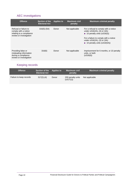### AEC investigations

| <b>Offence</b>                                                                                       | Section of the<br><b>Electoral Act</b> | <b>Applies to</b> | <b>Maximum civil</b><br>penalty | <b>Maximum criminal penalty</b>                                                                                                                                                                                                                 |
|------------------------------------------------------------------------------------------------------|----------------------------------------|-------------------|---------------------------------|-------------------------------------------------------------------------------------------------------------------------------------------------------------------------------------------------------------------------------------------------|
| Refusal or failure to<br>comply with a notice<br>relating to a compliance<br>review or investigation | $316(5)-(5A)$                          | Donor             | Not applicable                  | For a refusal to comply with a notice<br>under $s316(2A)$ , (3) or (3A):<br>$\blacksquare$ 10 penalty units (s316(5))<br>For a failure to comply with a notice<br>under $s316(2A)$ , (3) or (3A):<br>$\blacksquare$ 10 penalty units (s316(5A)) |
| Providing false or<br>misleading information<br>during a compliance<br>review or investigation       | 316(6)                                 | Donor             | Not applicable                  | Imprisonment for 6 months, or 10 penalty<br>units, or both<br>(S316(6))                                                                                                                                                                         |

### Keeping records

| <b>Offence</b>          | Section of the Applies to<br><b>Electoral Act</b> |       | Maximum civil<br>penalty       | <b>Maximum criminal penalty</b> |
|-------------------------|---------------------------------------------------|-------|--------------------------------|---------------------------------|
| Failure to keep records | $317(2)-(4)$                                      | Donor | 200 penalty units<br>(s317(1)) | Not applicable                  |